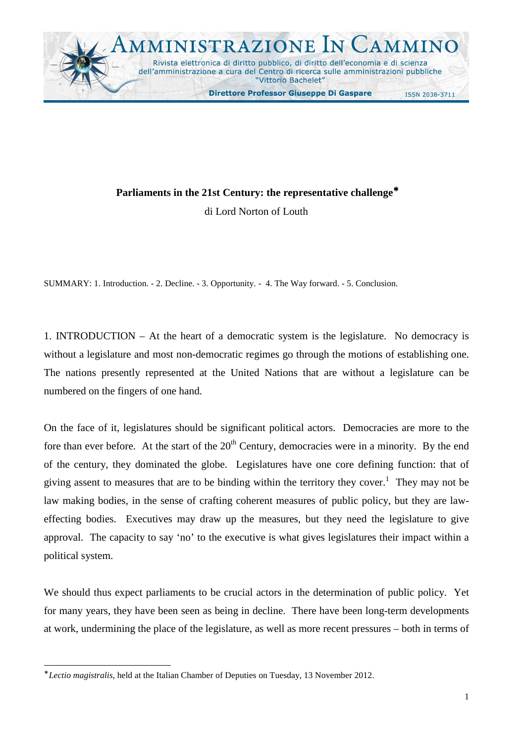

## **Parliaments in the 21st Century: the representative challenge**<sup>∗</sup>

di Lord Norton of Louth

SUMMARY: 1. Introduction. - 2. Decline. - 3. Opportunity. - 4. The Way forward. - 5. Conclusion.

1. INTRODUCTION – At the heart of a democratic system is the legislature. No democracy is without a legislature and most non-democratic regimes go through the motions of establishing one. The nations presently represented at the United Nations that are without a legislature can be numbered on the fingers of one hand.

On the face of it, legislatures should be significant political actors. Democracies are more to the fore than ever before. At the start of the  $20<sup>th</sup>$  Century, democracies were in a minority. By the end of the century, they dominated the globe. Legislatures have one core defining function: that of giving assent to measures that are to be binding within the territory they cover.<sup>1</sup> They may not be law making bodies, in the sense of crafting coherent measures of public policy, but they are laweffecting bodies. Executives may draw up the measures, but they need the legislature to give approval. The capacity to say 'no' to the executive is what gives legislatures their impact within a political system.

We should thus expect parliaments to be crucial actors in the determination of public policy. Yet for many years, they have been seen as being in decline. There have been long-term developments at work, undermining the place of the legislature, as well as more recent pressures – both in terms of

<sup>∗</sup> *Lectio magistralis*, held at the Italian Chamber of Deputies on Tuesday, 13 November 2012.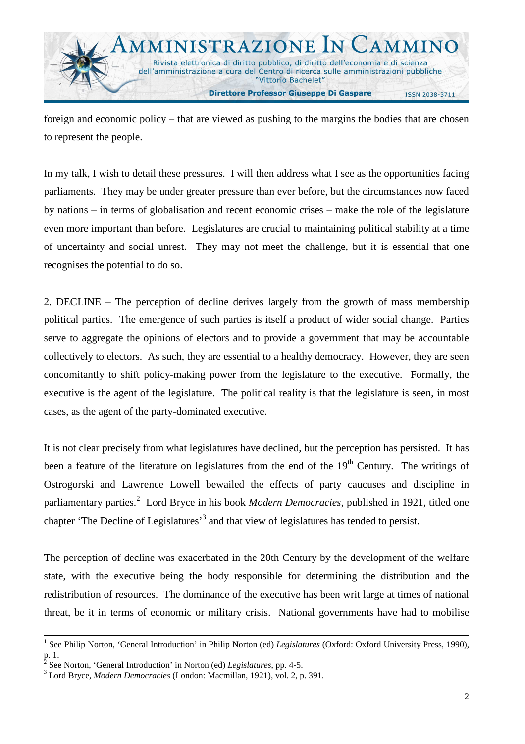foreign and economic policy – that are viewed as pushing to the margins the bodies that are chosen to represent the people.

In my talk, I wish to detail these pressures. I will then address what I see as the opportunities facing parliaments. They may be under greater pressure than ever before, but the circumstances now faced by nations – in terms of globalisation and recent economic crises – make the role of the legislature even more important than before. Legislatures are crucial to maintaining political stability at a time of uncertainty and social unrest. They may not meet the challenge, but it is essential that one recognises the potential to do so.

2. DECLINE – The perception of decline derives largely from the growth of mass membership political parties. The emergence of such parties is itself a product of wider social change. Parties serve to aggregate the opinions of electors and to provide a government that may be accountable collectively to electors. As such, they are essential to a healthy democracy. However, they are seen concomitantly to shift policy-making power from the legislature to the executive. Formally, the executive is the agent of the legislature. The political reality is that the legislature is seen, in most cases, as the agent of the party-dominated executive.

It is not clear precisely from what legislatures have declined, but the perception has persisted. It has been a feature of the literature on legislatures from the end of the  $19<sup>th</sup>$  Century. The writings of Ostrogorski and Lawrence Lowell bewailed the effects of party caucuses and discipline in parliamentary parties.<sup>2</sup> Lord Bryce in his book *Modern Democracies*, published in 1921, titled one chapter 'The Decline of Legislatures'<sup>3</sup> and that view of legislatures has tended to persist.

The perception of decline was exacerbated in the 20th Century by the development of the welfare state, with the executive being the body responsible for determining the distribution and the redistribution of resources. The dominance of the executive has been writ large at times of national threat, be it in terms of economic or military crisis. National governments have had to mobilise

<sup>&</sup>lt;sup>1</sup> See Philip Norton, 'General Introduction' in Philip Norton (ed) *Legislatures* (Oxford: Oxford University Press, 1990),  $\frac{p}{2}$ . See

See Norton, 'General Introduction' in Norton (ed) *Legislatures*, pp. 4-5.

<sup>3</sup> Lord Bryce, *Modern Democracies* (London: Macmillan, 1921), vol. 2, p. 391.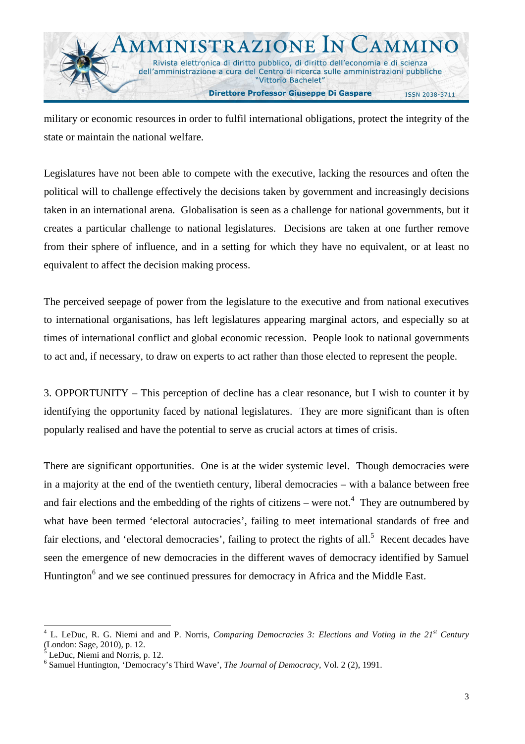

military or economic resources in order to fulfil international obligations, protect the integrity of the state or maintain the national welfare.

Legislatures have not been able to compete with the executive, lacking the resources and often the political will to challenge effectively the decisions taken by government and increasingly decisions taken in an international arena. Globalisation is seen as a challenge for national governments, but it creates a particular challenge to national legislatures. Decisions are taken at one further remove from their sphere of influence, and in a setting for which they have no equivalent, or at least no equivalent to affect the decision making process.

The perceived seepage of power from the legislature to the executive and from national executives to international organisations, has left legislatures appearing marginal actors, and especially so at times of international conflict and global economic recession. People look to national governments to act and, if necessary, to draw on experts to act rather than those elected to represent the people.

3. OPPORTUNITY – This perception of decline has a clear resonance, but I wish to counter it by identifying the opportunity faced by national legislatures. They are more significant than is often popularly realised and have the potential to serve as crucial actors at times of crisis.

There are significant opportunities. One is at the wider systemic level. Though democracies were in a majority at the end of the twentieth century, liberal democracies – with a balance between free and fair elections and the embedding of the rights of citizens – were not.<sup>4</sup> They are outnumbered by what have been termed 'electoral autocracies', failing to meet international standards of free and fair elections, and 'electoral democracies', failing to protect the rights of all.<sup>5</sup> Recent decades have seen the emergence of new democracies in the different waves of democracy identified by Samuel Huntington<sup>6</sup> and we see continued pressures for democracy in Africa and the Middle East.

l

<sup>4</sup> L. LeDuc, R. G. Niemi and and P. Norris, *Comparing Democracies 3: Elections and Voting in the 21st Century*  (London: Sage, 2010), p. 12.

<sup>5</sup> LeDuc, Niemi and Norris, p. 12.

<sup>6</sup> Samuel Huntington, 'Democracy's Third Wave', *The Journal of Democracy,* Vol. 2 (2), 1991.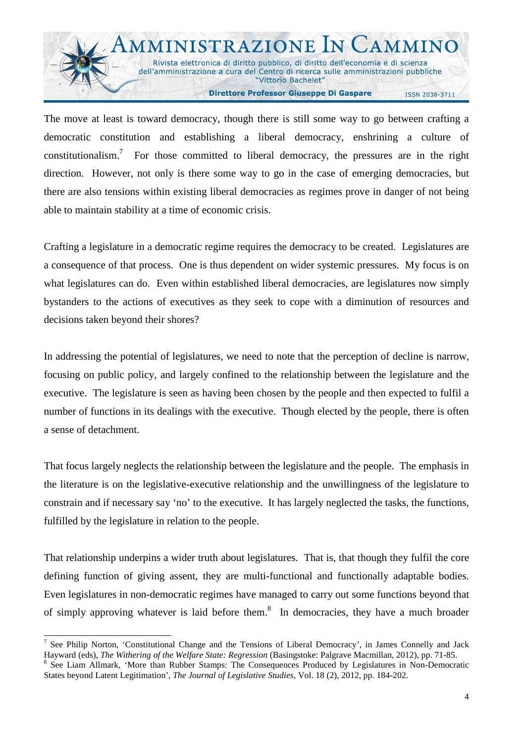

The move at least is toward democracy, though there is still some way to go between crafting a democratic constitution and establishing a liberal democracy, enshrining a culture of constitutionalism.<sup>7</sup> For those committed to liberal democracy, the pressures are in the right direction. However, not only is there some way to go in the case of emerging democracies, but there are also tensions within existing liberal democracies as regimes prove in danger of not being able to maintain stability at a time of economic crisis.

Crafting a legislature in a democratic regime requires the democracy to be created. Legislatures are a consequence of that process. One is thus dependent on wider systemic pressures. My focus is on what legislatures can do. Even within established liberal democracies, are legislatures now simply bystanders to the actions of executives as they seek to cope with a diminution of resources and decisions taken beyond their shores?

In addressing the potential of legislatures, we need to note that the perception of decline is narrow, focusing on public policy, and largely confined to the relationship between the legislature and the executive. The legislature is seen as having been chosen by the people and then expected to fulfil a number of functions in its dealings with the executive. Though elected by the people, there is often a sense of detachment.

That focus largely neglects the relationship between the legislature and the people. The emphasis in the literature is on the legislative-executive relationship and the unwillingness of the legislature to constrain and if necessary say 'no' to the executive. It has largely neglected the tasks, the functions, fulfilled by the legislature in relation to the people.

That relationship underpins a wider truth about legislatures. That is, that though they fulfil the core defining function of giving assent, they are multi-functional and functionally adaptable bodies. Even legislatures in non-democratic regimes have managed to carry out some functions beyond that of simply approving whatever is laid before them.<sup>8</sup> In democracies, they have a much broader

<sup>7</sup> See Philip Norton, 'Constitutional Change and the Tensions of Liberal Democracy', in James Connelly and Jack Hayward (eds), *The Withering of the Welfare State: Regression* (Basingstoke: Palgrave Macmillan, 2012), pp. 71-85.

<sup>8</sup> See Liam Allmark, 'More than Rubber Stamps: The Consequences Produced by Legislatures in Non-Democratic States beyond Latent Legitimation', *The Journal of Legislative Studies,* Vol. 18 (2), 2012, pp. 184-202.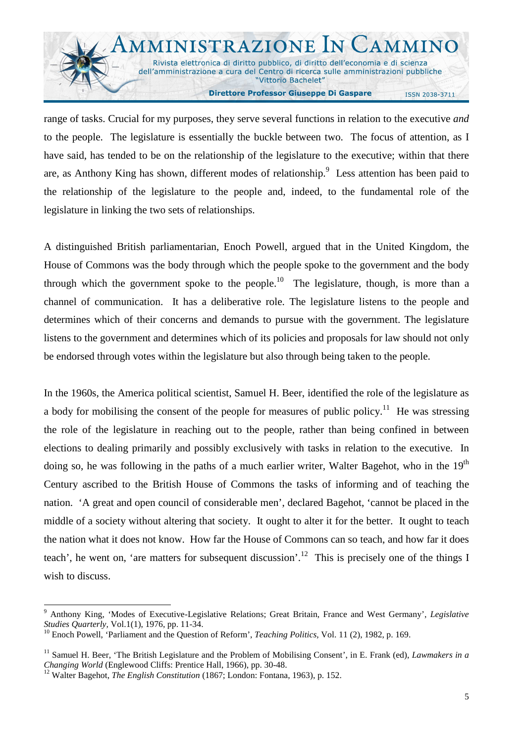

range of tasks. Crucial for my purposes, they serve several functions in relation to the executive *and* to the people. The legislature is essentially the buckle between two. The focus of attention, as I have said, has tended to be on the relationship of the legislature to the executive; within that there are, as Anthony King has shown, different modes of relationship.<sup>9</sup> Less attention has been paid to the relationship of the legislature to the people and, indeed, to the fundamental role of the legislature in linking the two sets of relationships.

A distinguished British parliamentarian, Enoch Powell, argued that in the United Kingdom, the House of Commons was the body through which the people spoke to the government and the body through which the government spoke to the people.<sup>10</sup> The legislature, though, is more than a channel of communication. It has a deliberative role. The legislature listens to the people and determines which of their concerns and demands to pursue with the government. The legislature listens to the government and determines which of its policies and proposals for law should not only be endorsed through votes within the legislature but also through being taken to the people.

In the 1960s, the America political scientist, Samuel H. Beer, identified the role of the legislature as a body for mobilising the consent of the people for measures of public policy.<sup>11</sup> He was stressing the role of the legislature in reaching out to the people, rather than being confined in between elections to dealing primarily and possibly exclusively with tasks in relation to the executive. In doing so, he was following in the paths of a much earlier writer, Walter Bagehot, who in the 19<sup>th</sup> Century ascribed to the British House of Commons the tasks of informing and of teaching the nation. 'A great and open council of considerable men', declared Bagehot, 'cannot be placed in the middle of a society without altering that society. It ought to alter it for the better. It ought to teach the nation what it does not know. How far the House of Commons can so teach, and how far it does teach', he went on, 'are matters for subsequent discussion'.<sup>12</sup> This is precisely one of the things I wish to discuss.

<sup>-</sup>9 Anthony King, 'Modes of Executive-Legislative Relations; Great Britain, France and West Germany', *Legislative Studies Quarterly,* Vol.1(1), 1976, pp. 11-34.

<sup>10</sup> Enoch Powell, 'Parliament and the Question of Reform', *Teaching Politics,* Vol. 11 (2), 1982, p. 169.

<sup>&</sup>lt;sup>11</sup> Samuel H. Beer, 'The British Legislature and the Problem of Mobilising Consent', in E. Frank (ed), *Lawmakers in a Changing World* (Englewood Cliffs: Prentice Hall, 1966), pp. 30-48.

<sup>12</sup> Walter Bagehot, *The English Constitution* (1867; London: Fontana, 1963), p. 152.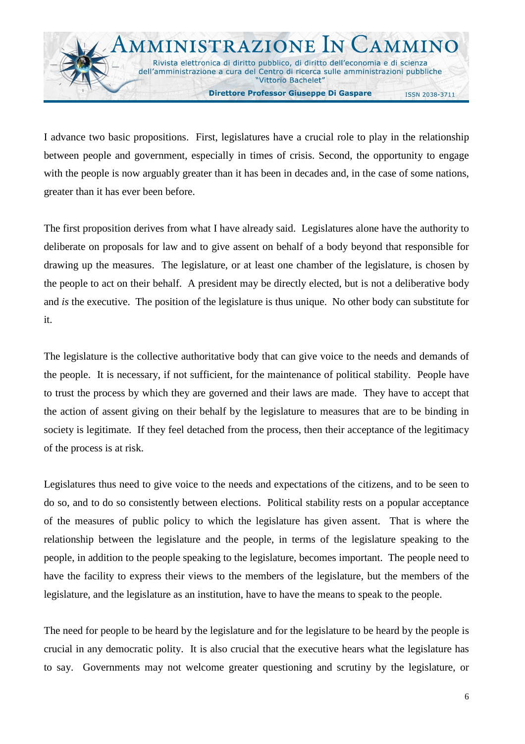

I advance two basic propositions. First, legislatures have a crucial role to play in the relationship between people and government, especially in times of crisis. Second, the opportunity to engage with the people is now arguably greater than it has been in decades and, in the case of some nations, greater than it has ever been before.

The first proposition derives from what I have already said. Legislatures alone have the authority to deliberate on proposals for law and to give assent on behalf of a body beyond that responsible for drawing up the measures. The legislature, or at least one chamber of the legislature, is chosen by the people to act on their behalf. A president may be directly elected, but is not a deliberative body and *is* the executive. The position of the legislature is thus unique. No other body can substitute for it.

The legislature is the collective authoritative body that can give voice to the needs and demands of the people. It is necessary, if not sufficient, for the maintenance of political stability. People have to trust the process by which they are governed and their laws are made. They have to accept that the action of assent giving on their behalf by the legislature to measures that are to be binding in society is legitimate. If they feel detached from the process, then their acceptance of the legitimacy of the process is at risk.

Legislatures thus need to give voice to the needs and expectations of the citizens, and to be seen to do so, and to do so consistently between elections. Political stability rests on a popular acceptance of the measures of public policy to which the legislature has given assent. That is where the relationship between the legislature and the people, in terms of the legislature speaking to the people, in addition to the people speaking to the legislature, becomes important. The people need to have the facility to express their views to the members of the legislature, but the members of the legislature, and the legislature as an institution, have to have the means to speak to the people.

The need for people to be heard by the legislature and for the legislature to be heard by the people is crucial in any democratic polity. It is also crucial that the executive hears what the legislature has to say. Governments may not welcome greater questioning and scrutiny by the legislature, or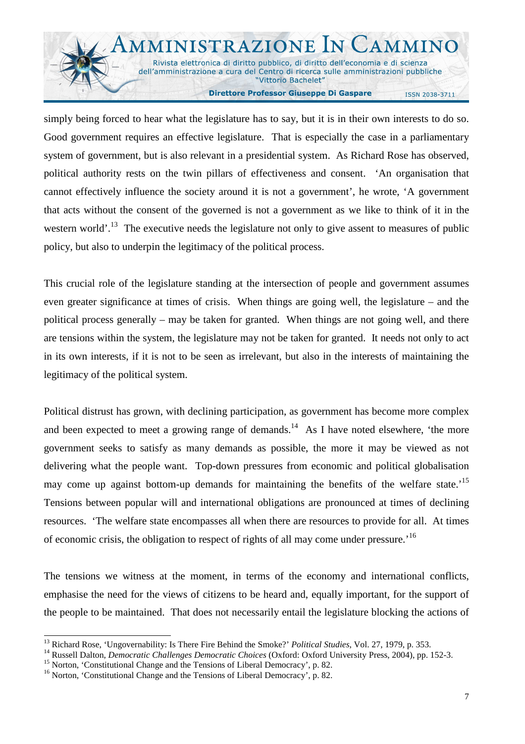

simply being forced to hear what the legislature has to say, but it is in their own interests to do so. Good government requires an effective legislature. That is especially the case in a parliamentary system of government, but is also relevant in a presidential system. As Richard Rose has observed, political authority rests on the twin pillars of effectiveness and consent. 'An organisation that cannot effectively influence the society around it is not a government', he wrote, 'A government that acts without the consent of the governed is not a government as we like to think of it in the western world'.<sup>13</sup> The executive needs the legislature not only to give assent to measures of public policy, but also to underpin the legitimacy of the political process.

This crucial role of the legislature standing at the intersection of people and government assumes even greater significance at times of crisis. When things are going well, the legislature – and the political process generally – may be taken for granted. When things are not going well, and there are tensions within the system, the legislature may not be taken for granted. It needs not only to act in its own interests, if it is not to be seen as irrelevant, but also in the interests of maintaining the legitimacy of the political system.

Political distrust has grown, with declining participation, as government has become more complex and been expected to meet a growing range of demands.<sup>14</sup> As I have noted elsewhere, 'the more government seeks to satisfy as many demands as possible, the more it may be viewed as not delivering what the people want. Top-down pressures from economic and political globalisation may come up against bottom-up demands for maintaining the benefits of the welfare state.<sup>15</sup> Tensions between popular will and international obligations are pronounced at times of declining resources. 'The welfare state encompasses all when there are resources to provide for all. At times of economic crisis, the obligation to respect of rights of all may come under pressure.<sup>'16</sup>

The tensions we witness at the moment, in terms of the economy and international conflicts, emphasise the need for the views of citizens to be heard and, equally important, for the support of the people to be maintained. That does not necessarily entail the legislature blocking the actions of

<sup>&</sup>lt;sup>13</sup> Richard Rose, 'Ungovernability: Is There Fire Behind the Smoke?' *Political Studies*, Vol. 27, 1979, p. 353.

<sup>&</sup>lt;sup>14</sup> Russell Dalton, *Democratic Challenges Democratic Choices* (Oxford: Oxford University Press, 2004), pp. 152-3.

<sup>&</sup>lt;sup>15</sup> Norton, 'Constitutional Change and the Tensions of Liberal Democracy', p. 82.

<sup>&</sup>lt;sup>16</sup> Norton, 'Constitutional Change and the Tensions of Liberal Democracy', p. 82.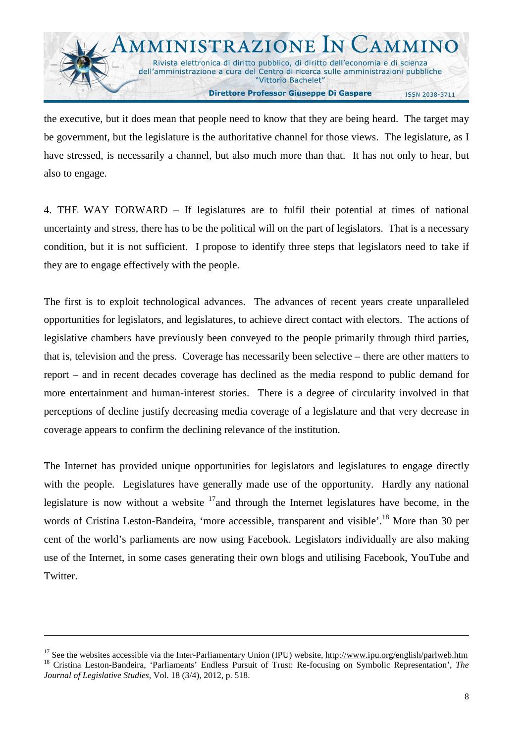the executive, but it does mean that people need to know that they are being heard. The target may be government, but the legislature is the authoritative channel for those views. The legislature, as I have stressed, is necessarily a channel, but also much more than that. It has not only to hear, but also to engage.

4. THE WAY FORWARD – If legislatures are to fulfil their potential at times of national uncertainty and stress, there has to be the political will on the part of legislators. That is a necessary condition, but it is not sufficient. I propose to identify three steps that legislators need to take if they are to engage effectively with the people.

The first is to exploit technological advances. The advances of recent years create unparalleled opportunities for legislators, and legislatures, to achieve direct contact with electors. The actions of legislative chambers have previously been conveyed to the people primarily through third parties, that is, television and the press. Coverage has necessarily been selective – there are other matters to report – and in recent decades coverage has declined as the media respond to public demand for more entertainment and human-interest stories. There is a degree of circularity involved in that perceptions of decline justify decreasing media coverage of a legislature and that very decrease in coverage appears to confirm the declining relevance of the institution.

The Internet has provided unique opportunities for legislators and legislatures to engage directly with the people. Legislatures have generally made use of the opportunity. Hardly any national legislature is now without a website  $17$  and through the Internet legislatures have become, in the words of Cristina Leston-Bandeira, 'more accessible, transparent and visible'.<sup>18</sup> More than 30 per cent of the world's parliaments are now using Facebook. Legislators individually are also making use of the Internet, in some cases generating their own blogs and utilising Facebook, YouTube and Twitter.

<sup>&</sup>lt;sup>17</sup> See the websites accessible via the Inter-Parliamentary Union (IPU) website,  $\frac{http://www.ipu.org/english/parlweb.htm}{}$ <sup>18</sup> Cristina Leston-Bandeira, 'Parliaments' Endless Pursuit of Trust: Re-focusing on Symbolic Representation', *The Journal of Legislative Studies,* Vol. 18 (3/4), 2012, p. 518.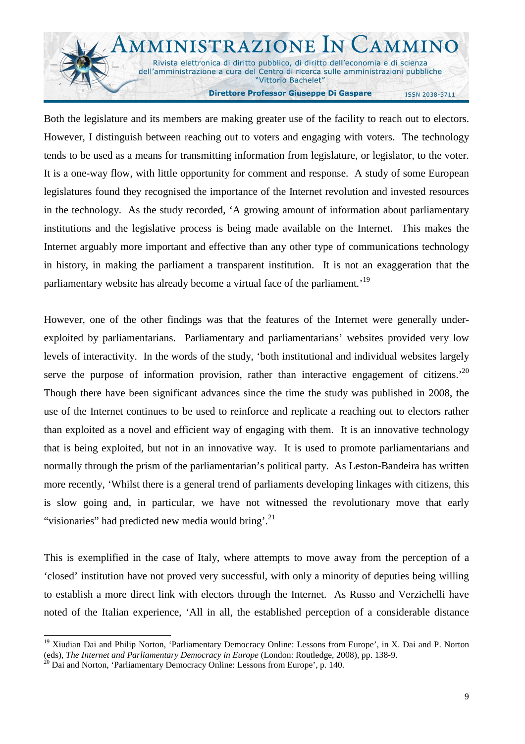

Both the legislature and its members are making greater use of the facility to reach out to electors. However, I distinguish between reaching out to voters and engaging with voters. The technology tends to be used as a means for transmitting information from legislature, or legislator, to the voter. It is a one-way flow, with little opportunity for comment and response. A study of some European legislatures found they recognised the importance of the Internet revolution and invested resources in the technology. As the study recorded, 'A growing amount of information about parliamentary institutions and the legislative process is being made available on the Internet. This makes the Internet arguably more important and effective than any other type of communications technology in history, in making the parliament a transparent institution. It is not an exaggeration that the parliamentary website has already become a virtual face of the parliament.<sup>19</sup>

However, one of the other findings was that the features of the Internet were generally underexploited by parliamentarians. Parliamentary and parliamentarians' websites provided very low levels of interactivity. In the words of the study, 'both institutional and individual websites largely serve the purpose of information provision, rather than interactive engagement of citizens.<sup>20</sup> Though there have been significant advances since the time the study was published in 2008, the use of the Internet continues to be used to reinforce and replicate a reaching out to electors rather than exploited as a novel and efficient way of engaging with them. It is an innovative technology that is being exploited, but not in an innovative way. It is used to promote parliamentarians and normally through the prism of the parliamentarian's political party. As Leston-Bandeira has written more recently, 'Whilst there is a general trend of parliaments developing linkages with citizens, this is slow going and, in particular, we have not witnessed the revolutionary move that early "visionaries" had predicted new media would bring'.<sup>21</sup>

This is exemplified in the case of Italy, where attempts to move away from the perception of a 'closed' institution have not proved very successful, with only a minority of deputies being willing to establish a more direct link with electors through the Internet. As Russo and Verzichelli have noted of the Italian experience, 'All in all, the established perception of a considerable distance

<sup>&</sup>lt;sup>19</sup> Xiudian Dai and Philip Norton, 'Parliamentary Democracy Online: Lessons from Europe', in X. Dai and P. Norton (eds), *The Internet and Parliamentary Democracy in Europe* (London: Routledge, 2008), pp. 138-9.

<sup>&</sup>lt;sup>2</sup> Dai and Norton, 'Parliamentary Democracy Online: Lessons from Europe', p. 140.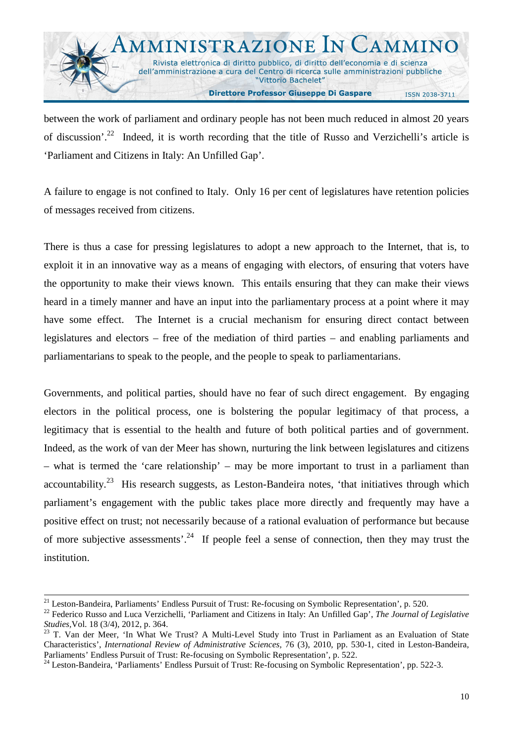

between the work of parliament and ordinary people has not been much reduced in almost 20 years of discussion'.<sup>22</sup> Indeed, it is worth recording that the title of Russo and Verzichelli's article is 'Parliament and Citizens in Italy: An Unfilled Gap'.

A failure to engage is not confined to Italy. Only 16 per cent of legislatures have retention policies of messages received from citizens.

There is thus a case for pressing legislatures to adopt a new approach to the Internet, that is, to exploit it in an innovative way as a means of engaging with electors, of ensuring that voters have the opportunity to make their views known. This entails ensuring that they can make their views heard in a timely manner and have an input into the parliamentary process at a point where it may have some effect. The Internet is a crucial mechanism for ensuring direct contact between legislatures and electors – free of the mediation of third parties – and enabling parliaments and parliamentarians to speak to the people, and the people to speak to parliamentarians.

Governments, and political parties, should have no fear of such direct engagement. By engaging electors in the political process, one is bolstering the popular legitimacy of that process, a legitimacy that is essential to the health and future of both political parties and of government. Indeed, as the work of van der Meer has shown, nurturing the link between legislatures and citizens – what is termed the 'care relationship' – may be more important to trust in a parliament than accountability.<sup>23</sup> His research suggests, as Leston-Bandeira notes, 'that initiatives through which parliament's engagement with the public takes place more directly and frequently may have a positive effect on trust; not necessarily because of a rational evaluation of performance but because of more subjective assessments<sup>24</sup>. If people feel a sense of connection, then they may trust the institution.

<sup>&</sup>lt;sup>21</sup> Leston-Bandeira, Parliaments' Endless Pursuit of Trust: Re-focusing on Symbolic Representation', p. 520.

<sup>22</sup> Federico Russo and Luca Verzichelli, 'Parliament and Citizens in Italy: An Unfilled Gap', *The Journal of Legislative Studies,*Vol. 18 (3/4), 2012, p. 364.

<sup>&</sup>lt;sup>23</sup> T. Van der Meer, 'In What We Trust? A Multi-Level Study into Trust in Parliament as an Evaluation of State Characteristics', *International Review of Administrative Sciences,* 76 (3), 2010, pp. 530-1, cited in Leston-Bandeira, Parliaments' Endless Pursuit of Trust: Re-focusing on Symbolic Representation', p. 522.

<sup>&</sup>lt;sup>24</sup> Leston-Bandeira, 'Parliaments' Endless Pursuit of Trust: Re-focusing on Symbolic Representation', pp. 522-3.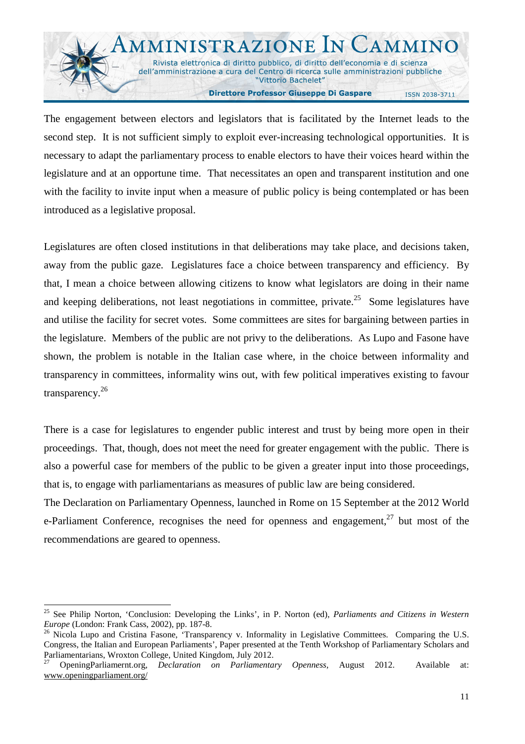

The engagement between electors and legislators that is facilitated by the Internet leads to the second step. It is not sufficient simply to exploit ever-increasing technological opportunities. It is necessary to adapt the parliamentary process to enable electors to have their voices heard within the legislature and at an opportune time. That necessitates an open and transparent institution and one with the facility to invite input when a measure of public policy is being contemplated or has been introduced as a legislative proposal.

Legislatures are often closed institutions in that deliberations may take place, and decisions taken, away from the public gaze. Legislatures face a choice between transparency and efficiency. By that, I mean a choice between allowing citizens to know what legislators are doing in their name and keeping deliberations, not least negotiations in committee, private.<sup>25</sup> Some legislatures have and utilise the facility for secret votes. Some committees are sites for bargaining between parties in the legislature. Members of the public are not privy to the deliberations. As Lupo and Fasone have shown, the problem is notable in the Italian case where, in the choice between informality and transparency in committees, informality wins out, with few political imperatives existing to favour transparency. $26$ 

There is a case for legislatures to engender public interest and trust by being more open in their proceedings. That, though, does not meet the need for greater engagement with the public. There is also a powerful case for members of the public to be given a greater input into those proceedings, that is, to engage with parliamentarians as measures of public law are being considered.

The Declaration on Parliamentary Openness, launched in Rome on 15 September at the 2012 World e-Parliament Conference, recognises the need for openness and engagement,  $27$  but most of the recommendations are geared to openness.

<sup>25</sup> See Philip Norton, 'Conclusion: Developing the Links', in P. Norton (ed), *Parliaments and Citizens in Western Europe* (London: Frank Cass, 2002), pp. 187-8.

<sup>&</sup>lt;sup>26</sup> Nicola Lupo and Cristina Fasone, 'Transparency v. Informality in Legislative Committees. Comparing the U.S. Congress, the Italian and European Parliaments', Paper presented at the Tenth Workshop of Parliamentary Scholars and Parliamentarians, Wroxton College, United Kingdom, July 2012.

<sup>27</sup> OpeningParliamernt.org, *Declaration on Parliamentary Openness,* August 2012. Available at: www.openingparliament.org/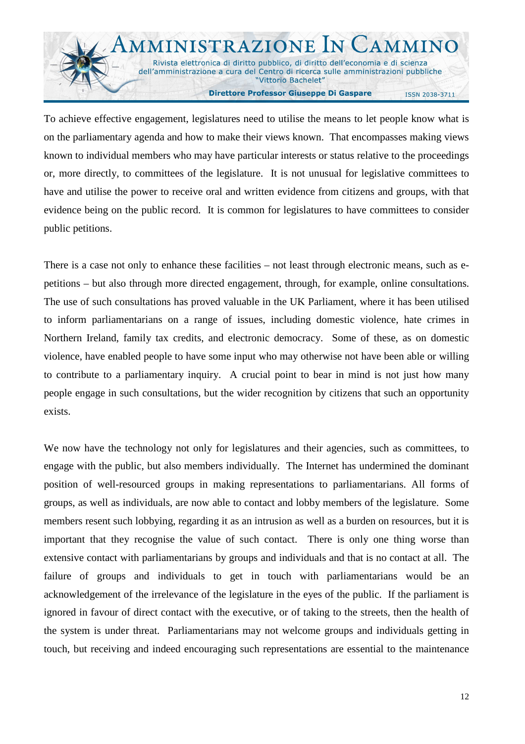

To achieve effective engagement, legislatures need to utilise the means to let people know what is on the parliamentary agenda and how to make their views known. That encompasses making views known to individual members who may have particular interests or status relative to the proceedings or, more directly, to committees of the legislature. It is not unusual for legislative committees to have and utilise the power to receive oral and written evidence from citizens and groups, with that evidence being on the public record. It is common for legislatures to have committees to consider public petitions.

There is a case not only to enhance these facilities – not least through electronic means, such as epetitions – but also through more directed engagement, through, for example, online consultations. The use of such consultations has proved valuable in the UK Parliament, where it has been utilised to inform parliamentarians on a range of issues, including domestic violence, hate crimes in Northern Ireland, family tax credits, and electronic democracy. Some of these, as on domestic violence, have enabled people to have some input who may otherwise not have been able or willing to contribute to a parliamentary inquiry. A crucial point to bear in mind is not just how many people engage in such consultations, but the wider recognition by citizens that such an opportunity exists.

We now have the technology not only for legislatures and their agencies, such as committees, to engage with the public, but also members individually. The Internet has undermined the dominant position of well-resourced groups in making representations to parliamentarians. All forms of groups, as well as individuals, are now able to contact and lobby members of the legislature. Some members resent such lobbying, regarding it as an intrusion as well as a burden on resources, but it is important that they recognise the value of such contact. There is only one thing worse than extensive contact with parliamentarians by groups and individuals and that is no contact at all. The failure of groups and individuals to get in touch with parliamentarians would be an acknowledgement of the irrelevance of the legislature in the eyes of the public. If the parliament is ignored in favour of direct contact with the executive, or of taking to the streets, then the health of the system is under threat. Parliamentarians may not welcome groups and individuals getting in touch, but receiving and indeed encouraging such representations are essential to the maintenance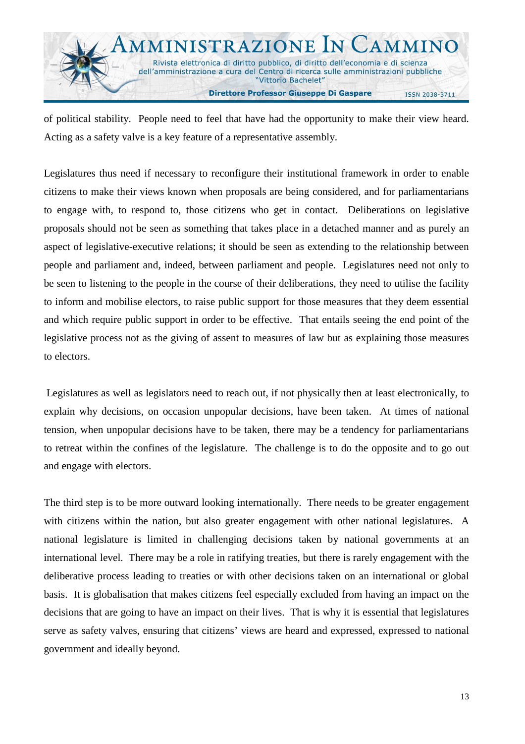

of political stability. People need to feel that have had the opportunity to make their view heard. Acting as a safety valve is a key feature of a representative assembly.

Legislatures thus need if necessary to reconfigure their institutional framework in order to enable citizens to make their views known when proposals are being considered, and for parliamentarians to engage with, to respond to, those citizens who get in contact. Deliberations on legislative proposals should not be seen as something that takes place in a detached manner and as purely an aspect of legislative-executive relations; it should be seen as extending to the relationship between people and parliament and, indeed, between parliament and people. Legislatures need not only to be seen to listening to the people in the course of their deliberations, they need to utilise the facility to inform and mobilise electors, to raise public support for those measures that they deem essential and which require public support in order to be effective. That entails seeing the end point of the legislative process not as the giving of assent to measures of law but as explaining those measures to electors.

 Legislatures as well as legislators need to reach out, if not physically then at least electronically, to explain why decisions, on occasion unpopular decisions, have been taken. At times of national tension, when unpopular decisions have to be taken, there may be a tendency for parliamentarians to retreat within the confines of the legislature. The challenge is to do the opposite and to go out and engage with electors.

The third step is to be more outward looking internationally. There needs to be greater engagement with citizens within the nation, but also greater engagement with other national legislatures. A national legislature is limited in challenging decisions taken by national governments at an international level. There may be a role in ratifying treaties, but there is rarely engagement with the deliberative process leading to treaties or with other decisions taken on an international or global basis. It is globalisation that makes citizens feel especially excluded from having an impact on the decisions that are going to have an impact on their lives. That is why it is essential that legislatures serve as safety valves, ensuring that citizens' views are heard and expressed, expressed to national government and ideally beyond.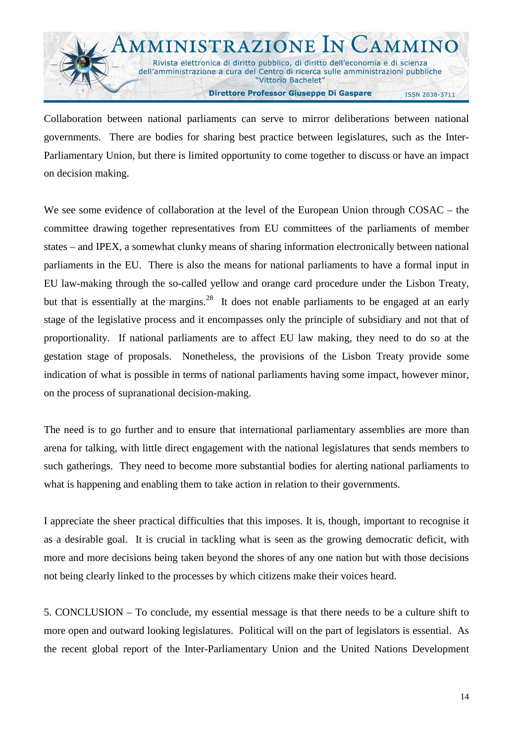

Collaboration between national parliaments can serve to mirror deliberations between national governments. There are bodies for sharing best practice between legislatures, such as the Inter-Parliamentary Union, but there is limited opportunity to come together to discuss or have an impact on decision making.

We see some evidence of collaboration at the level of the European Union through COSAC – the committee drawing together representatives from EU committees of the parliaments of member states – and IPEX, a somewhat clunky means of sharing information electronically between national parliaments in the EU. There is also the means for national parliaments to have a formal input in EU law-making through the so-called yellow and orange card procedure under the Lisbon Treaty, but that is essentially at the margins.<sup>28</sup> It does not enable parliaments to be engaged at an early stage of the legislative process and it encompasses only the principle of subsidiary and not that of proportionality. If national parliaments are to affect EU law making, they need to do so at the gestation stage of proposals. Nonetheless, the provisions of the Lisbon Treaty provide some indication of what is possible in terms of national parliaments having some impact, however minor, on the process of supranational decision-making.

The need is to go further and to ensure that international parliamentary assemblies are more than arena for talking, with little direct engagement with the national legislatures that sends members to such gatherings. They need to become more substantial bodies for alerting national parliaments to what is happening and enabling them to take action in relation to their governments.

I appreciate the sheer practical difficulties that this imposes. It is, though, important to recognise it as a desirable goal. It is crucial in tackling what is seen as the growing democratic deficit, with more and more decisions being taken beyond the shores of any one nation but with those decisions not being clearly linked to the processes by which citizens make their voices heard.

5. CONCLUSION – To conclude, my essential message is that there needs to be a culture shift to more open and outward looking legislatures. Political will on the part of legislators is essential. As the recent global report of the Inter-Parliamentary Union and the United Nations Development